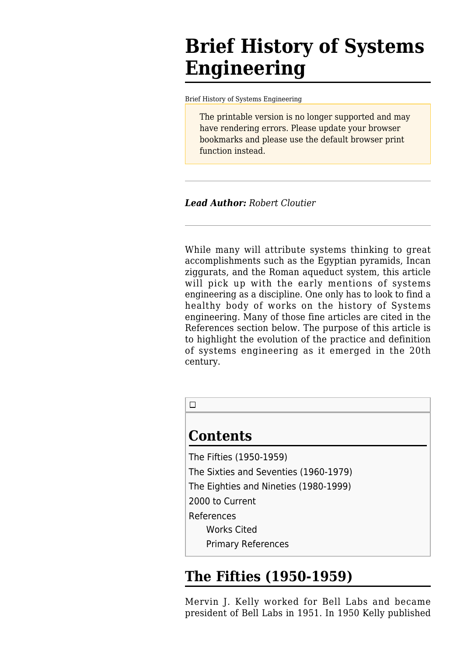# **Brief History of Systems Engineering**

[Brief History of Systems Engineering](http://sebokwiki.org/wiki/Brief_History_of_Systems_Engineering)

The printable version is no longer supported and may have rendering errors. Please update your browser bookmarks and please use the default browser print function instead.

*Lead Author: Robert Cloutier*

While many will attribute systems thinking to great accomplishments such as the Egyptian pyramids, Incan ziggurats, and the Roman aqueduct system, this article will pick up with the early mentions of systems engineering as a discipline. One only has to look to find a healthy body of works on the history of Systems engineering. Many of those fine articles are cited in the References section below. The purpose of this article is to highlight the evolution of the practice and definition of systems engineering as it emerged in the 20th century.



### **Contents**

[The Fifties \(1950-1959\)](#The_Fifties_.281950-1959.29)

[The Sixties and Seventies \(1960-1979\)](#The_Sixties_and_Seventies_.281960-1979.29)

[The Eighties and Nineties \(1980-1999\)](#The_Eighties_and_Nineties_.281980-1999.29)

[2000 to Current](#page--1-0)

[References](#page--1-0)

[Works Cited](#page--1-0)

[Primary References](#page--1-0)

## **The Fifties (1950-1959)**

Mervin J. Kelly worked for Bell Labs and became president of Bell Labs in 1951. In 1950 Kelly published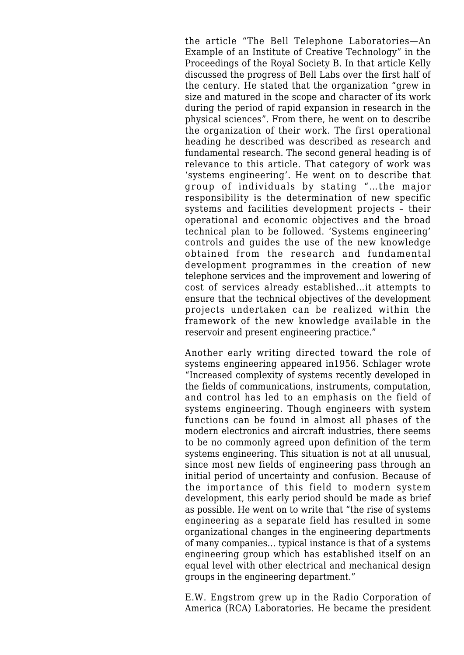the article "The Bell Telephone Laboratories—An Example of an Institute of Creative Technology" in the Proceedings of the Royal Society B. In that article Kelly discussed the progress of Bell Labs over the first half of the century. He stated that the organization "grew in size and matured in the scope and character of its work during the period of rapid expansion in research in the physical sciences". From there, he went on to describe the organization of their work. The first operational heading he described was described as research and fundamental research. The second general heading is of relevance to this article. That category of work was 'systems engineering'. He went on to describe that group of individuals by stating "…the major responsibility is the determination of new specific systems and facilities development projects – their operational and economic objectives and the broad technical plan to be followed. 'Systems engineering' controls and guides the use of the new knowledge obtained from the research and fundamental development programmes in the creation of new telephone services and the improvement and lowering of cost of services already established…it attempts to ensure that the technical objectives of the development projects undertaken can be realized within the framework of the new knowledge available in the reservoir and present engineering practice."

Another early writing directed toward the role of systems engineering appeared in1956. Schlager wrote "Increased complexity of systems recently developed in the fields of communications, instruments, computation, and control has led to an emphasis on the field of systems engineering. Though engineers with system functions can be found in almost all phases of the modern electronics and aircraft industries, there seems to be no commonly agreed upon definition of the term systems engineering. This situation is not at all unusual, since most new fields of engineering pass through an initial period of uncertainty and confusion. Because of the importance of this field to modern system development, this early period should be made as brief as possible. He went on to write that "the rise of systems engineering as a separate field has resulted in some organizational changes in the engineering departments of many companies… typical instance is that of a systems engineering group which has established itself on an equal level with other electrical and mechanical design groups in the engineering department."

E.W. Engstrom grew up in the Radio Corporation of America (RCA) Laboratories. He became the president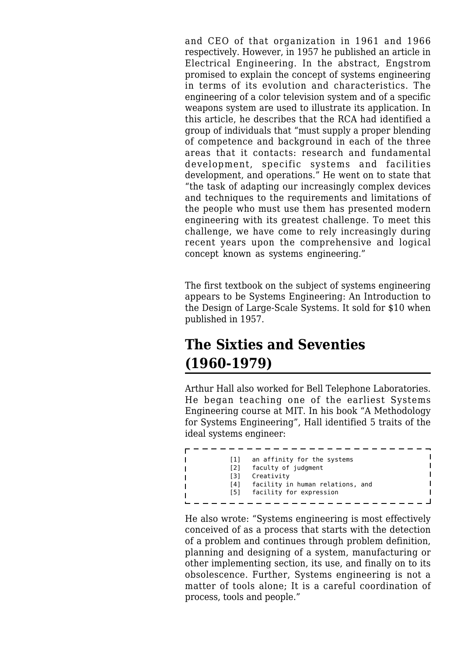and CEO of that organization in 1961 and 1966 respectively. However, in 1957 he published an article in Electrical Engineering. In the abstract, Engstrom promised to explain the concept of systems engineering in terms of its evolution and characteristics. The engineering of a color television system and of a specific weapons system are used to illustrate its application. In this article, he describes that the RCA had identified a group of individuals that "must supply a proper blending of competence and background in each of the three areas that it contacts: research and fundamental development, specific systems and facilities development, and operations." He went on to state that "the task of adapting our increasingly complex devices and techniques to the requirements and limitations of the people who must use them has presented modern engineering with its greatest challenge. To meet this challenge, we have come to rely increasingly during recent years upon the comprehensive and logical concept known as systems engineering."

The first textbook on the subject of systems engineering appears to be Systems Engineering: An Introduction to the Design of Large-Scale Systems. It sold for \$10 when published in 1957.

## **The Sixties and Seventies (1960-1979)**

Arthur Hall also worked for Bell Telephone Laboratories. He began teaching one of the earliest Systems Engineering course at MIT. In his book "A Methodology for Systems Engineering", Hall identified 5 traits of the ideal systems engineer:

| [1] | an affinity for the systems      |
|-----|----------------------------------|
| [2] | faculty of judgment              |
| [3] | Creativity                       |
| [4] | facility in human relations, and |
| [5] | facility for expression          |
|     |                                  |

He also wrote: "Systems engineering is most effectively conceived of as a process that starts with the detection of a problem and continues through problem definition, planning and designing of a system, manufacturing or other implementing section, its use, and finally on to its obsolescence. Further, Systems engineering is not a matter of tools alone; It is a careful coordination of process, tools and people."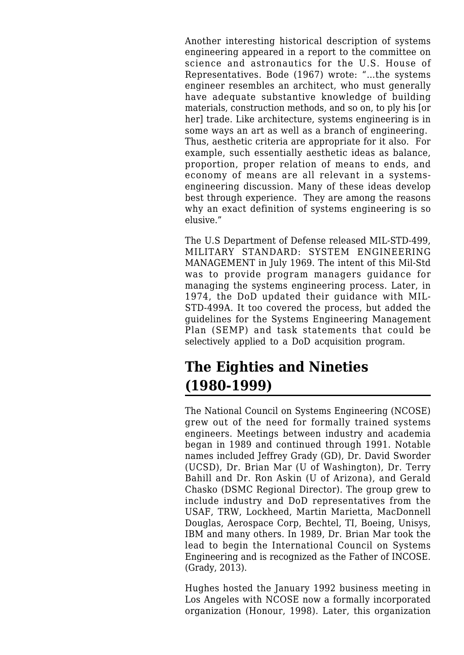Another interesting historical description of systems engineering appeared in a report to the committee on science and astronautics for the U.S. House of Representatives. Bode (1967) wrote: "…the systems engineer resembles an architect, who must generally have adequate substantive knowledge of building materials, construction methods, and so on, to ply his [or her] trade. Like architecture, systems engineering is in some ways an art as well as a branch of engineering. Thus, aesthetic criteria are appropriate for it also. For example, such essentially aesthetic ideas as balance, proportion, proper relation of means to ends, and economy of means are all relevant in a systemsengineering discussion. Many of these ideas develop best through experience. They are among the reasons why an exact definition of systems engineering is so elusive."

The U.S Department of Defense released MIL-STD-499, MILITARY STANDARD: SYSTEM ENGINEERING MANAGEMENT in July 1969. The intent of this Mil-Std was to provide program managers guidance for managing the systems engineering process. Later, in 1974, the DoD updated their guidance with MIL-STD-499A. It too covered the process, but added the guidelines for the Systems Engineering Management Plan (SEMP) and task statements that could be selectively applied to a DoD acquisition program.

## **The Eighties and Nineties (1980-1999)**

The National Council on Systems Engineering (NCOSE) grew out of the need for formally trained systems engineers. Meetings between industry and academia began in 1989 and continued through 1991. Notable names included Jeffrey Grady (GD), Dr. David Sworder (UCSD), Dr. Brian Mar (U of Washington), Dr. Terry Bahill and Dr. Ron Askin (U of Arizona), and Gerald Chasko (DSMC Regional Director). The group grew to include industry and DoD representatives from the USAF, TRW, Lockheed, Martin Marietta, MacDonnell Douglas, Aerospace Corp, Bechtel, TI, Boeing, Unisys, IBM and many others. In 1989, Dr. Brian Mar took the lead to begin the International Council on Systems Engineering and is recognized as the Father of INCOSE. (Grady, 2013).

Hughes hosted the January 1992 business meeting in Los Angeles with NCOSE now a formally incorporated organization (Honour, 1998). Later, this organization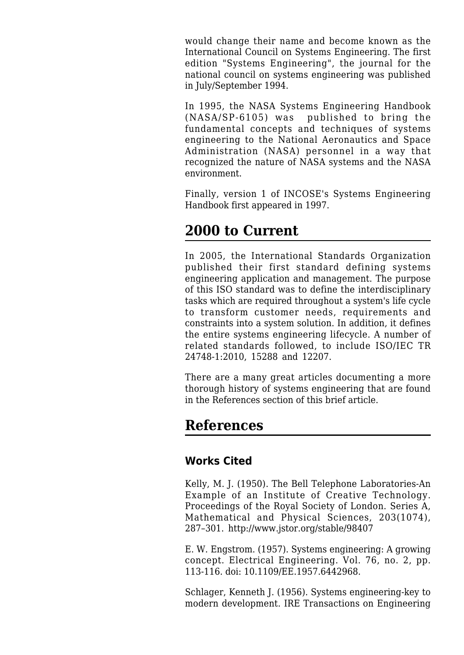would change their name and become known as the International Council on Systems Engineering. The first edition "Systems Engineering", the journal for the national council on systems engineering was published in July/September 1994.

In 1995, the NASA Systems Engineering Handbook (NASA/SP-6105) was published to bring the fundamental concepts and techniques of systems engineering to the National Aeronautics and Space Administration (NASA) personnel in a way that recognized the nature of NASA systems and the NASA environment.

Finally, version 1 of INCOSE's Systems Engineering Handbook first appeared in 1997.

### **2000 to Current**

In 2005, the International Standards Organization published their first standard defining systems engineering application and management. The purpose of this ISO standard was to define the interdisciplinary tasks which are required throughout a system's life cycle to transform customer needs, requirements and constraints into a system solution. In addition, it defines the entire systems engineering lifecycle. A number of related standards followed, to include ISO/IEC TR 24748-1:2010, 15288 and 12207.

There are a many great articles documenting a more thorough history of systems engineering that are found in the References section of this brief article.

### **References**

#### **Works Cited**

Kelly, M. J. (1950). The Bell Telephone Laboratories-An Example of an Institute of Creative Technology. Proceedings of the Royal Society of London. Series A, Mathematical and Physical Sciences, 203(1074), 287–301.<http://www.jstor.org/stable/98407>

E. W. Engstrom. (1957). Systems engineering: A growing concept. Electrical Engineering. Vol. 76, no. 2, pp. 113-116. doi: 10.1109/EE.1957.6442968.

Schlager, Kenneth J. (1956). Systems engineering-key to modern development. IRE Transactions on Engineering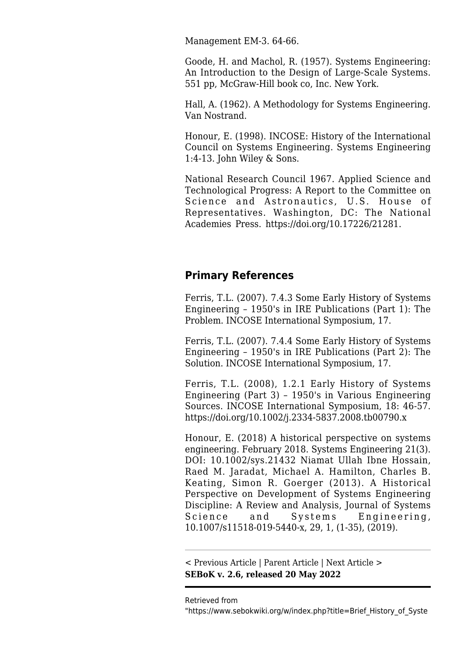Management EM-3. 64-66.

Goode, H. and Machol, R. (1957). Systems Engineering: An Introduction to the Design of Large-Scale Systems. 551 pp, McGraw-Hill book co, Inc. New York.

Hall, A. (1962). A Methodology for Systems Engineering. Van Nostrand.

Honour, E. (1998). INCOSE: History of the International Council on Systems Engineering. Systems Engineering 1:4-13. John Wiley & Sons.

National Research Council 1967. Applied Science and Technological Progress: A Report to the Committee on Science and Astronautics, U.S. House of Representatives. Washington, DC: The National Academies Press. [https://doi.org/10.17226/21281.](https://doi.org/10.17226/21281)

#### **Primary References**

Ferris, T.L. (2007). 7.4.3 Some Early History of Systems Engineering – 1950's in IRE Publications (Part 1): The Problem. INCOSE International Symposium, 17.

Ferris, T.L. (2007). 7.4.4 Some Early History of Systems Engineering – 1950's in IRE Publications (Part 2): The Solution. INCOSE International Symposium, 17.

Ferris, T.L. (2008), 1.2.1 Early History of Systems Engineering (Part 3) – 1950's in Various Engineering Sources. INCOSE International Symposium, 18: 46-57. <https://doi.org/10.1002/j.2334-5837.2008.tb00790.x>

Honour, E. (2018) A historical perspective on systems engineering. February 2018. Systems Engineering 21(3). DOI: 10.1002/sys.21432 Niamat Ullah Ibne Hossain, Raed M. Jaradat, Michael A. Hamilton, Charles B. Keating, Simon R. Goerger (2013). A Historical Perspective on Development of Systems Engineering Discipline: A Review and Analysis, Journal of Systems Science and Systems Engineering, 10.1007/s11518-019-5440-x, 29, 1, (1-35), (2019).

[< Previous Article](http://sebokwiki.org/wiki/Use_Case_5:_General_Managers) | [Parent Article](http://sebokwiki.org/wiki/SEBoK_Table_of_Contents) | [Next Article >](http://sebokwiki.org/wiki/Systems_Fundamentals) **SEBoK v. 2.6, released 20 May 2022**

Retrieved from

"[https://www.sebokwiki.org/w/index.php?title=Brief\\_History\\_of\\_Syste](https://www.sebokwiki.org/w/index.php?title=Brief_History_of_Systems_Engineering&oldid=64701)